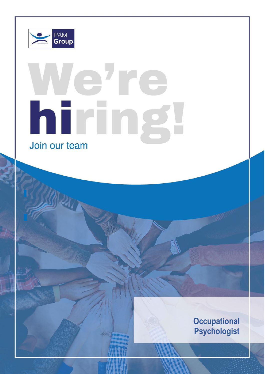

 $\mathbb{R}$  substituting associate basis on an associate basis on an associate basis on an associate basis of  $\mathbb{R}$  $\mathcal{L}(\mathcal{L}(\mathbb{R}))$  is all transmitted in local area of  $\mathcal{L}(\mathbb{R})$ 

Reporting To: Director of Psychology

**About Us**

# le're hiring Join our team

**Occupational Psychologist**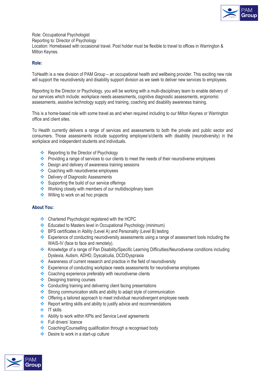

Role: Occupational Psychologist Reporting to: Director of Psychology Location: Homebased with occasional travel. Post holder must be flexible to travel to offices in Warrington & Milton Keynes.

### **Role:**

ToHealth is a new division of PAM Group – an occupational health and wellbeing provider. This exciting new role will support the neurodiversity and disability support division as we seek to deliver new services to employees.

Reporting to the Director or Psychology, you will be working with a multi-disciplinary team to enable delivery of our services which include: workplace needs assessments, cognitive diagnostic assessments, ergonomic assessments, assistive technology supply and training, coaching and disability awareness training.

This is a home-based role with some travel as and when required including to our Milton Keynes or Warrington office and client sites.

To Health currently delivers a range of services and assessments to both the private and public sector and consumers. Those assessments include supporting employee's/clients with disability (neurodiversity) in the workplace and independent students and individuals.

- ❖ Reporting to the Director of Psychology
- ❖ Providing a range of services to our clients to meet the needs of their neurodiverse employees
- ❖ Design and delivery of awareness training sessions
- ❖ Coaching with neurodiverse employees
- ❖ Delivery of Diagnostic Assessments
- ❖ Supporting the build of our service offerings
- ❖ Working closely with members of our multidisciplinary team
- ❖ Willing to work on ad hoc projects

# **About You:**

- ❖ Chartered Psychologist registered with the HCPC
- ❖ Educated to Masters level in Occupational Psychology (minimum)
- ❖ BPS certificates in Ability (Level A) and Personality (Level B) testing
- ❖ Experience of conducting neurodiversity assessments using a range of assessment tools including the WAIS-IV (face to face and remotely).
- ❖ Knowledge of a range of Pan Disability/Specific Learning Difficulties/Neurodiverse conditions including Dyslexia, Autism, ADHD, Dyscalculia, DCD/Dyspraxia
- ❖ Awareness of current research and practice in the field of neurodiversity
- ❖ Experience of conducting workplace needs assessments for neurodiverse employees
- ❖ Coaching experience preferably with neurodiverse clients
- ❖ Designing training courses
- ❖ Conducting training and delivering client facing presentations
- ❖ Strong communication skills and ability to adapt style of communication
- ❖ Offering a tailored approach to meet individual neurodivergent employee needs
- ❖ Report writing skills and ability to justify advice and recommendations
- ❖ IT skills
- ❖ Ability to work within KPIs and Service Level agreements
- ❖ Full drivers' licence
- ❖ Coaching/Counselling qualification through a recognised body
- ❖ Desire to work in a start-up culture